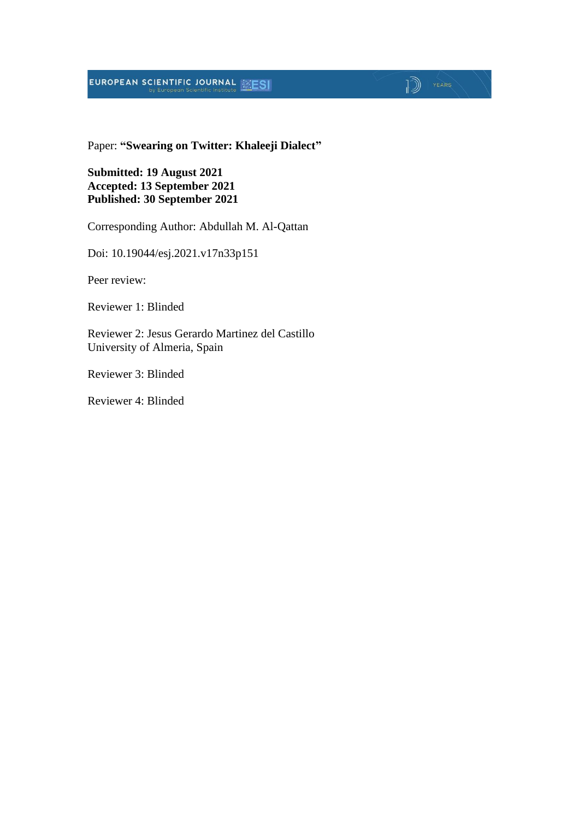## **EUROPEAN SCIENTIFIC JOURNAL EXESI**

#### Paper: **"Swearing on Twitter: Khaleeji Dialect"**

 $\sqrt{2}$   $\sqrt{2}$ 

#### **Submitted: 19 August 2021 Accepted: 13 September 2021 Published: 30 September 2021**

Corresponding Author: Abdullah M. Al-Qattan

Doi: 10.19044/esj.2021.v17n33p151

Peer review:

Reviewer 1: Blinded

Reviewer 2: Jesus Gerardo Martinez del Castillo University of Almeria, Spain

Reviewer 3: Blinded

Reviewer 4: Blinded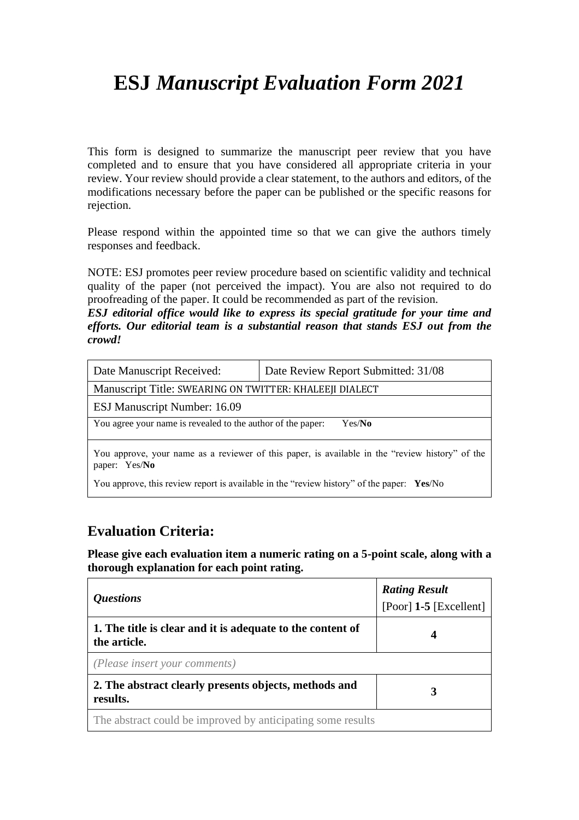# **ESJ** *Manuscript Evaluation Form 2021*

This form is designed to summarize the manuscript peer review that you have completed and to ensure that you have considered all appropriate criteria in your review. Your review should provide a clear statement, to the authors and editors, of the modifications necessary before the paper can be published or the specific reasons for rejection.

Please respond within the appointed time so that we can give the authors timely responses and feedback.

NOTE: ESJ promotes peer review procedure based on scientific validity and technical quality of the paper (not perceived the impact). You are also not required to do proofreading of the paper. It could be recommended as part of the revision.

*ESJ editorial office would like to express its special gratitude for your time and efforts. Our editorial team is a substantial reason that stands ESJ out from the crowd!*

| Date Manuscript Received:                                                                                        | Date Review Report Submitted: 31/08 |  |
|------------------------------------------------------------------------------------------------------------------|-------------------------------------|--|
| Manuscript Title: SWEARING ON TWITTER: KHALEEJI DIALECT                                                          |                                     |  |
| ESJ Manuscript Number: 16.09                                                                                     |                                     |  |
| You agree your name is revealed to the author of the paper:<br>Yes/No                                            |                                     |  |
| You approve, your name as a reviewer of this paper, is available in the "review history" of the<br>paper: Yes/No |                                     |  |

You approve, this review report is available in the "review history" of the paper: **Yes**/No

## **Evaluation Criteria:**

**Please give each evaluation item a numeric rating on a 5-point scale, along with a thorough explanation for each point rating.**

| <i><b>Ouestions</b></i>                                                    | <b>Rating Result</b><br>[Poor] $1-5$ [Excellent] |
|----------------------------------------------------------------------------|--------------------------------------------------|
| 1. The title is clear and it is adequate to the content of<br>the article. |                                                  |
| (Please insert your comments)                                              |                                                  |
| 2. The abstract clearly presents objects, methods and<br>results.          |                                                  |
| The abstract could be improved by anticipating some results                |                                                  |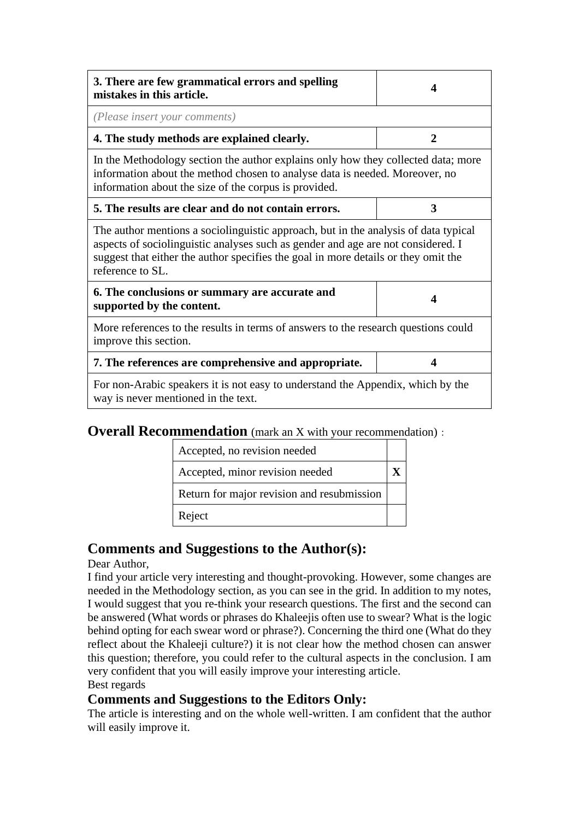| 3. There are few grammatical errors and spelling<br>mistakes in this article.                                                                                                                                                                                                     | 4 |
|-----------------------------------------------------------------------------------------------------------------------------------------------------------------------------------------------------------------------------------------------------------------------------------|---|
| (Please insert your comments)                                                                                                                                                                                                                                                     |   |
| 4. The study methods are explained clearly.                                                                                                                                                                                                                                       | 2 |
| In the Methodology section the author explains only how they collected data; more<br>information about the method chosen to analyse data is needed. Moreover, no<br>information about the size of the corpus is provided.                                                         |   |
| 5. The results are clear and do not contain errors.                                                                                                                                                                                                                               | 3 |
| The author mentions a sociolinguistic approach, but in the analysis of data typical<br>aspects of sociolinguistic analyses such as gender and age are not considered. I<br>suggest that either the author specifies the goal in more details or they omit the<br>reference to SL. |   |
| 6. The conclusions or summary are accurate and<br>supported by the content.                                                                                                                                                                                                       | 4 |
| More references to the results in terms of answers to the research questions could<br>improve this section.                                                                                                                                                                       |   |
| 7. The references are comprehensive and appropriate.                                                                                                                                                                                                                              | 4 |
| For non-Arabic speakers it is not easy to understand the Appendix, which by the<br>way is never mentioned in the text.                                                                                                                                                            |   |

## **Overall Recommendation** (mark an X with your recommendation):

| Accepted, no revision needed               |  |
|--------------------------------------------|--|
| Accepted, minor revision needed            |  |
| Return for major revision and resubmission |  |
| Reject                                     |  |

## **Comments and Suggestions to the Author(s):**

#### Dear Author,

I find your article very interesting and thought-provoking. However, some changes are needed in the Methodology section, as you can see in the grid. In addition to my notes, I would suggest that you re-think your research questions. The first and the second can be answered (What words or phrases do Khaleejis often use to swear? What is the logic behind opting for each swear word or phrase?). Concerning the third one (What do they reflect about the Khaleeji culture?) it is not clear how the method chosen can answer this question; therefore, you could refer to the cultural aspects in the conclusion. I am very confident that you will easily improve your interesting article. Best regards

### **Comments and Suggestions to the Editors Only:**

The article is interesting and on the whole well-written. I am confident that the author will easily improve it.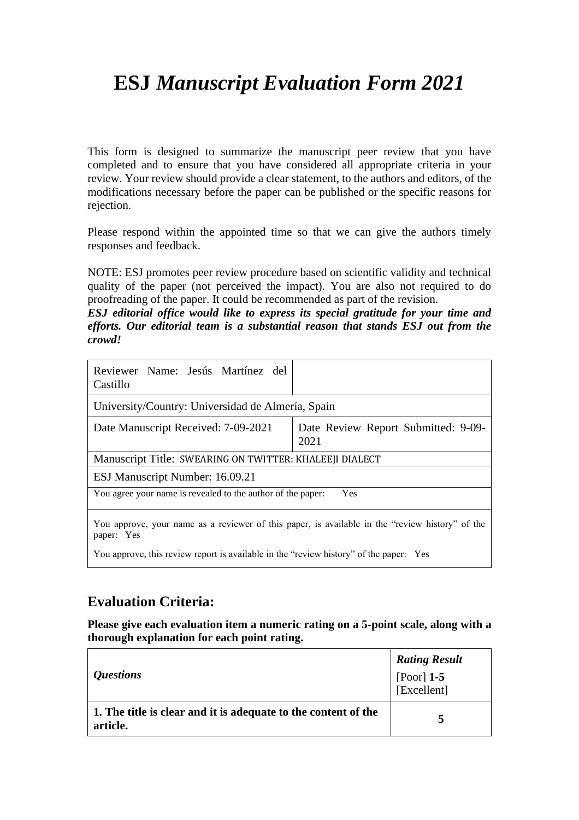# **ESJ** *Manuscript Evaluation Form 2021*

This form is designed to summarize the manuscript peer review that you have completed and to ensure that you have considered all appropriate criteria in your review. Your review should provide a clear statement, to the authors and editors, of the modifications necessary before the paper can be published or the specific reasons for rejection.

Please respond within the appointed time so that we can give the authors timely responses and feedback.

NOTE: ESJ promotes peer review procedure based on scientific validity and technical quality of the paper (not perceived the impact). You are also not required to do proofreading of the paper. It could be recommended as part of the revision.

*ESJ editorial office would like to express its special gratitude for your time and efforts. Our editorial team is a substantial reason that stands ESJ out from the crowd!*

| Reviewer Name: Jesús Martínez del<br>Castillo                                                                 |                                             |  |  |  |
|---------------------------------------------------------------------------------------------------------------|---------------------------------------------|--|--|--|
| University/Country: Universidad de Almería, Spain                                                             |                                             |  |  |  |
| Date Manuscript Received: 7-09-2021                                                                           | Date Review Report Submitted: 9-09-<br>2021 |  |  |  |
| Manuscript Title: SWEARING ON TWITTER: KHALEEJI DIALECT                                                       |                                             |  |  |  |
| ESJ Manuscript Number: 16.09.21                                                                               |                                             |  |  |  |
| You agree your name is revealed to the author of the paper:<br>Yes                                            |                                             |  |  |  |
| You approve, your name as a reviewer of this paper, is available in the "review history" of the<br>paper: Yes |                                             |  |  |  |
| You approve, this review report is available in the "review history" of the paper: Yes                        |                                             |  |  |  |

## **Evaluation Criteria:**

**Please give each evaluation item a numeric rating on a 5-point scale, along with a thorough explanation for each point rating.**

| <i>Questions</i>                                                           | <b>Rating Result</b><br>[Poor] $1-5$<br>[Excellent] |
|----------------------------------------------------------------------------|-----------------------------------------------------|
| 1. The title is clear and it is adequate to the content of the<br>article. |                                                     |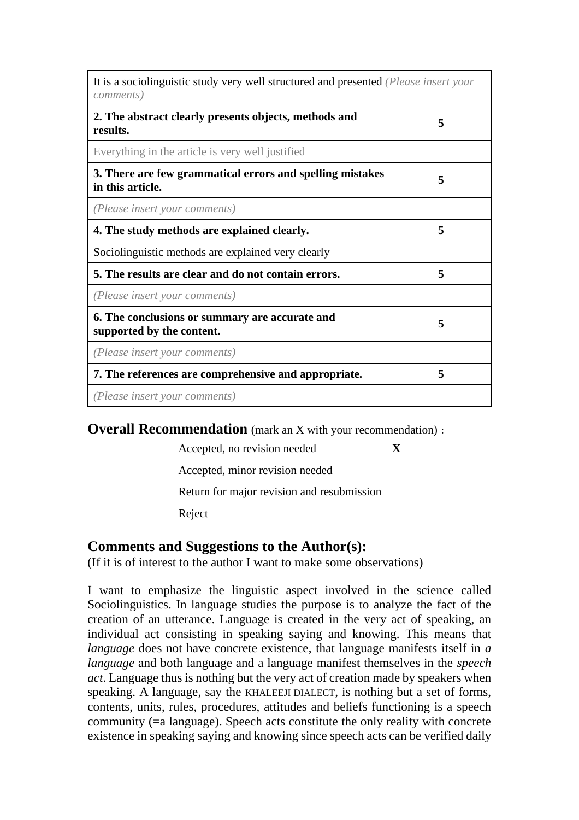| It is a sociolinguistic study very well structured and presented (Please insert your<br><i>comments</i> ) |   |
|-----------------------------------------------------------------------------------------------------------|---|
| 2. The abstract clearly presents objects, methods and<br>results.                                         | 5 |
| Everything in the article is very well justified                                                          |   |
| 3. There are few grammatical errors and spelling mistakes<br>in this article.                             | 5 |
| (Please insert your comments)                                                                             |   |
| 4. The study methods are explained clearly.                                                               | 5 |
| Sociolinguistic methods are explained very clearly                                                        |   |
| 5. The results are clear and do not contain errors.                                                       | 5 |
| (Please insert your comments)                                                                             |   |
| 6. The conclusions or summary are accurate and<br>supported by the content.                               | 5 |
| (Please insert your comments)                                                                             |   |
| 7. The references are comprehensive and appropriate.                                                      | 5 |
| (Please insert your comments)                                                                             |   |

#### **Overall Recommendation** (mark an X with your recommendation):

| Accepted, no revision needed               |  |
|--------------------------------------------|--|
| Accepted, minor revision needed            |  |
| Return for major revision and resubmission |  |
| Reject                                     |  |

### **Comments and Suggestions to the Author(s):**

(If it is of interest to the author I want to make some observations)

I want to emphasize the linguistic aspect involved in the science called Sociolinguistics. In language studies the purpose is to analyze the fact of the creation of an utterance. Language is created in the very act of speaking, an individual act consisting in speaking saying and knowing. This means that *language* does not have concrete existence, that language manifests itself in *a language* and both language and a language manifest themselves in the *speech act*. Language thus is nothing but the very act of creation made by speakers when speaking. A language, say the KHALEEJI DIALECT, is nothing but a set of forms, contents, units, rules, procedures, attitudes and beliefs functioning is a speech community (=a language). Speech acts constitute the only reality with concrete existence in speaking saying and knowing since speech acts can be verified daily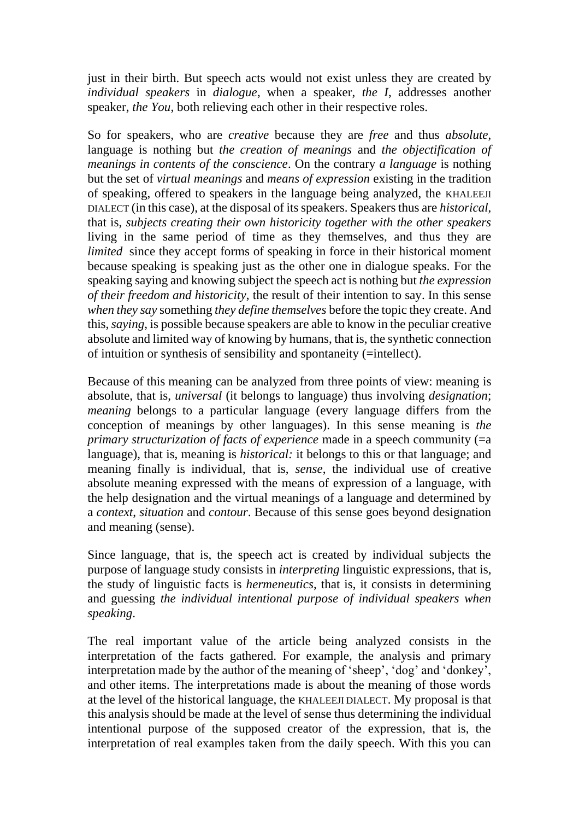just in their birth. But speech acts would not exist unless they are created by *individual speakers* in *dialogue*, when a speaker, *the I*, addresses another speaker, *the You*, both relieving each other in their respective roles.

So for speakers, who are *creative* because they are *free* and thus *absolute*, language is nothing but *the creation of meanings* and *the objectification of meanings in contents of the conscience*. On the contrary *a language* is nothing but the set of *virtual meanings* and *means of expression* existing in the tradition of speaking, offered to speakers in the language being analyzed, the KHALEEJI DIALECT (in this case), at the disposal of its speakers. Speakers thus are *historical*, that is, *subjects creating their own historicity together with the other speakers* living in the same period of time as they themselves, and thus they are *limited* since they accept forms of speaking in force in their historical moment because speaking is speaking just as the other one in dialogue speaks. For the speaking saying and knowing subject the speech act is nothing but *the expression of their freedom and historicity*, the result of their intention to say. In this sense *when they say* something *they define themselves* before the topic they create. And this, *saying*, is possible because speakers are able to know in the peculiar creative absolute and limited way of knowing by humans, that is, the synthetic connection of intuition or synthesis of sensibility and spontaneity (=intellect).

Because of this meaning can be analyzed from three points of view: meaning is absolute, that is, *universal* (it belongs to language) thus involving *designation*; *meaning* belongs to a particular language (every language differs from the conception of meanings by other languages). In this sense meaning is *the primary structurization of facts of experience* made in a speech community (=a language), that is, meaning is *historical:* it belongs to this or that language; and meaning finally is individual, that is, *sense*, the individual use of creative absolute meaning expressed with the means of expression of a language, with the help designation and the virtual meanings of a language and determined by a *context*, *situation* and *contour*. Because of this sense goes beyond designation and meaning (sense).

Since language, that is, the speech act is created by individual subjects the purpose of language study consists in *interpreting* linguistic expressions, that is, the study of linguistic facts is *hermeneutics*, that is, it consists in determining and guessing *the individual intentional purpose of individual speakers when speaking*.

The real important value of the article being analyzed consists in the interpretation of the facts gathered. For example, the analysis and primary interpretation made by the author of the meaning of 'sheep', 'dog' and 'donkey', and other items. The interpretations made is about the meaning of those words at the level of the historical language, the KHALEEJI DIALECT. My proposal is that this analysis should be made at the level of sense thus determining the individual intentional purpose of the supposed creator of the expression, that is, the interpretation of real examples taken from the daily speech. With this you can